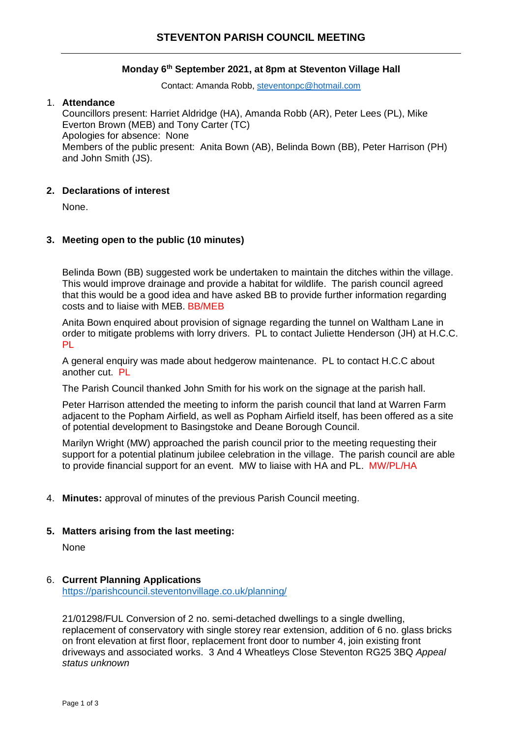## **Monday 6 th September 2021, at 8pm at Steventon Village Hall**

Contact: Amanda Robb, [steventonpc@hotmail.com](mailto:steventonpc@hotmail.com)

## 1. **Attendance**

Councillors present: Harriet Aldridge (HA), Amanda Robb (AR), Peter Lees (PL), Mike Everton Brown (MEB) and Tony Carter (TC) Apologies for absence: None Members of the public present: Anita Bown (AB), Belinda Bown (BB), Peter Harrison (PH) and John Smith (JS).

## **2. Declarations of interest**

None.

## **3. Meeting open to the public (10 minutes)**

Belinda Bown (BB) suggested work be undertaken to maintain the ditches within the village. This would improve drainage and provide a habitat for wildlife. The parish council agreed that this would be a good idea and have asked BB to provide further information regarding costs and to liaise with MEB. BB/MEB

Anita Bown enquired about provision of signage regarding the tunnel on Waltham Lane in order to mitigate problems with lorry drivers. PL to contact Juliette Henderson (JH) at H.C.C. PL

A general enquiry was made about hedgerow maintenance. PL to contact H.C.C about another cut. PL

The Parish Council thanked John Smith for his work on the signage at the parish hall.

Peter Harrison attended the meeting to inform the parish council that land at Warren Farm adjacent to the Popham Airfield, as well as Popham Airfield itself, has been offered as a site of potential development to Basingstoke and Deane Borough Council.

Marilyn Wright (MW) approached the parish council prior to the meeting requesting their support for a potential platinum jubilee celebration in the village. The parish council are able to provide financial support for an event. MW to liaise with HA and PL. MW/PL/HA

4. **Minutes:** approval of minutes of the previous Parish Council meeting.

#### **5. Matters arising from the last meeting:**

None

#### 6. **Current Planning Applications**

<https://parishcouncil.steventonvillage.co.uk/planning/>

21/01298/FUL Conversion of 2 no. semi-detached dwellings to a single dwelling, replacement of conservatory with single storey rear extension, addition of 6 no. glass bricks on front elevation at first floor, replacement front door to number 4, join existing front driveways and associated works. 3 And 4 Wheatleys Close Steventon RG25 3BQ *Appeal status unknown*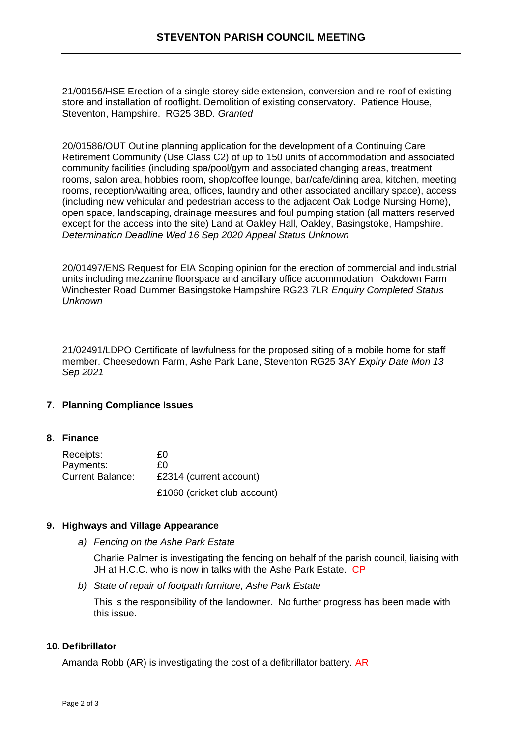21/00156/HSE Erection of a single storey side extension, conversion and re-roof of existing store and installation of rooflight. Demolition of existing conservatory. Patience House, Steventon, Hampshire. RG25 3BD. *Granted*

20/01586/OUT Outline planning application for the development of a Continuing Care Retirement Community (Use Class C2) of up to 150 units of accommodation and associated community facilities (including spa/pool/gym and associated changing areas, treatment rooms, salon area, hobbies room, shop/coffee lounge, bar/cafe/dining area, kitchen, meeting rooms, reception/waiting area, offices, laundry and other associated ancillary space), access (including new vehicular and pedestrian access to the adjacent Oak Lodge Nursing Home), open space, landscaping, drainage measures and foul pumping station (all matters reserved except for the access into the site) Land at Oakley Hall, Oakley, Basingstoke, Hampshire. *Determination Deadline Wed 16 Sep 2020 Appeal Status Unknown*

20/01497/ENS Request for EIA Scoping opinion for the erection of commercial and industrial units including mezzanine floorspace and ancillary office accommodation | Oakdown Farm Winchester Road Dummer Basingstoke Hampshire RG23 7LR *Enquiry Completed Status Unknown*

21/02491/LDPO Certificate of lawfulness for the proposed siting of a mobile home for staff member. Cheesedown Farm, Ashe Park Lane, Steventon RG25 3AY *Expiry Date Mon 13 Sep 2021* 

# **7. Planning Compliance Issues**

#### **8. Finance**

| Receipts:               | £Ο                           |
|-------------------------|------------------------------|
| Payments:               | £Ο                           |
| <b>Current Balance:</b> | £2314 (current account)      |
|                         | £1060 (cricket club account) |

#### **9. Highways and Village Appearance**

*a) Fencing on the Ashe Park Estate*

Charlie Palmer is investigating the fencing on behalf of the parish council, liaising with JH at H.C.C. who is now in talks with the Ashe Park Estate. CP

*b) State of repair of footpath furniture, Ashe Park Estate*

This is the responsibility of the landowner. No further progress has been made with this issue.

#### **10. Defibrillator**

Amanda Robb (AR) is investigating the cost of a defibrillator battery. AR